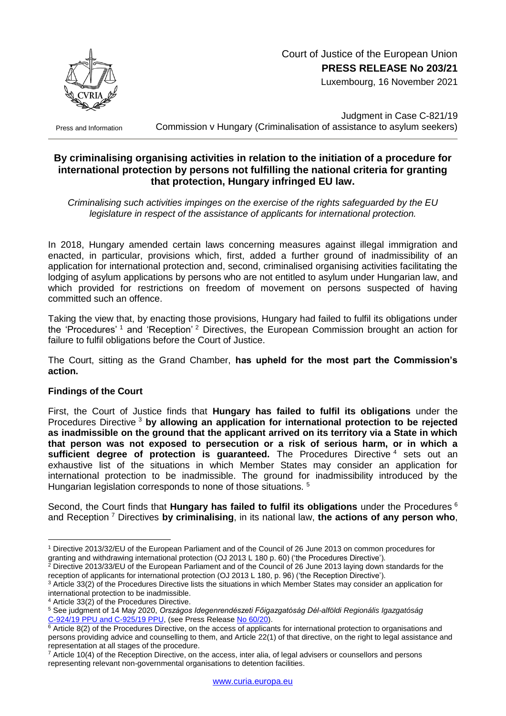

Luxembourg, 16 November 2021

Press and Information

Judgment in Case C-821/19 Commission v Hungary (Criminalisation of assistance to asylum seekers)

## **By criminalising organising activities in relation to the initiation of a procedure for international protection by persons not fulfilling the national criteria for granting that protection, Hungary infringed EU law.**

*Criminalising such activities impinges on the exercise of the rights safeguarded by the EU legislature in respect of the assistance of applicants for international protection.*

In 2018, Hungary amended certain laws concerning measures against illegal immigration and enacted, in particular, provisions which, first, added a further ground of inadmissibility of an application for international protection and, second, criminalised organising activities facilitating the lodging of asylum applications by persons who are not entitled to asylum under Hungarian law, and which provided for restrictions on freedom of movement on persons suspected of having committed such an offence.

Taking the view that, by enacting those provisions, Hungary had failed to fulfil its obligations under the 'Procedures'<sup>1</sup> and 'Reception'<sup>2</sup> Directives, the European Commission brought an action for failure to fulfil obligations before the Court of Justice.

The Court, sitting as the Grand Chamber, **has upheld for the most part the Commission's action.**

## **Findings of the Court**

First, the Court of Justice finds that **Hungary has failed to fulfil its obligations** under the Procedures Directive <sup>3</sup> **by allowing an application for international protection to be rejected as inadmissible on the ground that the applicant arrived on its territory via a State in which that person was not exposed to persecution or a risk of serious harm, or in which a**  sufficient degree of protection is guaranteed. The Procedures Directive <sup>4</sup> sets out an exhaustive list of the situations in which Member States may consider an application for international protection to be inadmissible. The ground for inadmissibility introduced by the Hungarian legislation corresponds to none of those situations. <sup>5</sup>

Second, the Court finds that **Hungary has failed to fulfil its obligations** under the Procedures <sup>6</sup> and Reception <sup>7</sup> Directives **by criminalising**, in its national law, **the actions of any person who**,

<sup>1</sup> <sup>1</sup> Directive 2013/32/EU of the European Parliament and of the Council of 26 June 2013 on common procedures for granting and withdrawing international protection (OJ 2013 L 180 p. 60) ('the Procedures Directive').

<sup>&</sup>lt;sup>2</sup> Directive 2013/33/EU of the European Parliament and of the Council of 26 June 2013 laying down standards for the reception of applicants for international protection (OJ 2013 L 180, p. 96) ('the Reception Directive').

<sup>3</sup> Article 33(2) of the Procedures Directive lists the situations in which Member States may consider an application for international protection to be inadmissible.

<sup>4</sup> Article 33(2) of the Procedures Directive.

<sup>5</sup> See judgment of 14 May 2020, *Országos Idegenrendészeti Főigazgatóság Dél-alföldi Regionális Igazgatóság* C-924/19 [PPU and C-925/19](https://curia.europa.eu/juris/documents.jsf?num=C-924/19) PPU, (see Press Release No [60/20\)](https://curia.europa.eu/jcms/upload/docs/application/pdf/2020-05/cp200060en.pdf).

 $6$  Article 8(2) of the Procedures Directive, on the access of applicants for international protection to organisations and persons providing advice and counselling to them, and Article 22(1) of that directive, on the right to legal assistance and representation at all stages of the procedure.

 $7$  Article 10(4) of the Reception Directive, on the access, inter alia, of legal advisers or counsellors and persons representing relevant non-governmental organisations to detention facilities.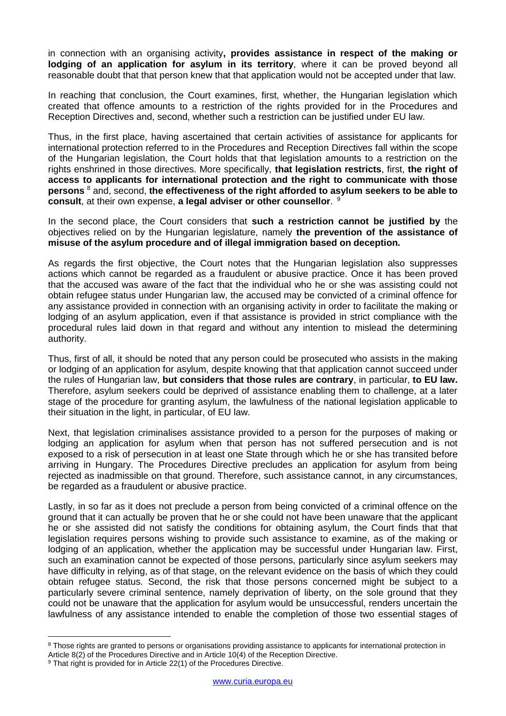in connection with an organising activity**, provides assistance in respect of the making or lodging of an application for asylum in its territory**, where it can be proved beyond all reasonable doubt that that person knew that that application would not be accepted under that law.

In reaching that conclusion, the Court examines, first, whether, the Hungarian legislation which created that offence amounts to a restriction of the rights provided for in the Procedures and Reception Directives and, second, whether such a restriction can be justified under EU law.

Thus, in the first place, having ascertained that certain activities of assistance for applicants for international protection referred to in the Procedures and Reception Directives fall within the scope of the Hungarian legislation, the Court holds that that legislation amounts to a restriction on the rights enshrined in those directives. More specifically, **that legislation restricts**, first, **the right of access to applicants for international protection and the right to communicate with those persons** <sup>8</sup> and, second, **the effectiveness of the right afforded to asylum seekers to be able to consult**, at their own expense, **a legal adviser or other counsellor**. 9

In the second place, the Court considers that **such a restriction cannot be justified by** the objectives relied on by the Hungarian legislature, namely **the prevention of the assistance of misuse of the asylum procedure and of illegal immigration based on deception.**

As regards the first objective, the Court notes that the Hungarian legislation also suppresses actions which cannot be regarded as a fraudulent or abusive practice. Once it has been proved that the accused was aware of the fact that the individual who he or she was assisting could not obtain refugee status under Hungarian law, the accused may be convicted of a criminal offence for any assistance provided in connection with an organising activity in order to facilitate the making or lodging of an asylum application, even if that assistance is provided in strict compliance with the procedural rules laid down in that regard and without any intention to mislead the determining authority.

Thus, first of all, it should be noted that any person could be prosecuted who assists in the making or lodging of an application for asylum, despite knowing that that application cannot succeed under the rules of Hungarian law, **but considers that those rules are contrary**, in particular, **to EU law.** Therefore, asylum seekers could be deprived of assistance enabling them to challenge, at a later stage of the procedure for granting asylum, the lawfulness of the national legislation applicable to their situation in the light, in particular, of EU law.

Next, that legislation criminalises assistance provided to a person for the purposes of making or lodging an application for asylum when that person has not suffered persecution and is not exposed to a risk of persecution in at least one State through which he or she has transited before arriving in Hungary. The Procedures Directive precludes an application for asylum from being rejected as inadmissible on that ground. Therefore, such assistance cannot, in any circumstances, be regarded as a fraudulent or abusive practice.

Lastly, in so far as it does not preclude a person from being convicted of a criminal offence on the ground that it can actually be proven that he or she could not have been unaware that the applicant he or she assisted did not satisfy the conditions for obtaining asylum, the Court finds that that legislation requires persons wishing to provide such assistance to examine, as of the making or lodging of an application, whether the application may be successful under Hungarian law. First, such an examination cannot be expected of those persons, particularly since asylum seekers may have difficulty in relying, as of that stage, on the relevant evidence on the basis of which they could obtain refugee status. Second, the risk that those persons concerned might be subject to a particularly severe criminal sentence, namely deprivation of liberty, on the sole ground that they could not be unaware that the application for asylum would be unsuccessful, renders uncertain the lawfulness of any assistance intended to enable the completion of those two essential stages of

1

<sup>&</sup>lt;sup>8</sup> Those rights are granted to persons or organisations providing assistance to applicants for international protection in Article 8(2) of the Procedures Directive and in Article 10(4) of the Reception Directive.

<sup>&</sup>lt;sup>9</sup> That right is provided for in Article 22(1) of the Procedures Directive.